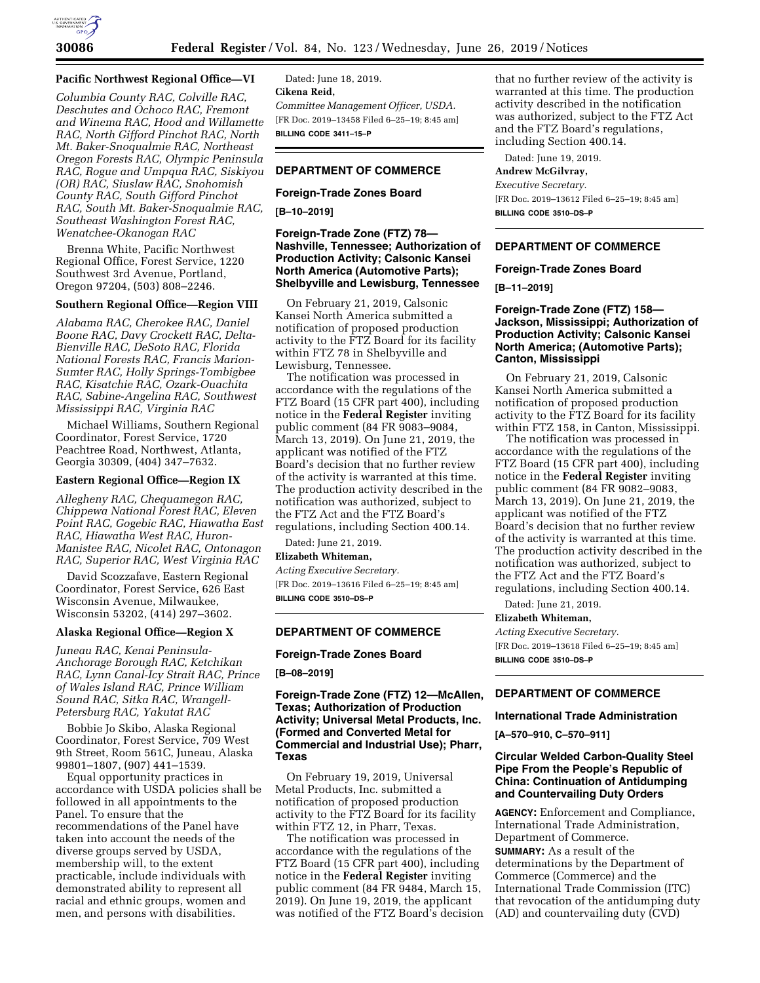

## **Pacific Northwest Regional Office—VI**

*Columbia County RAC, Colville RAC, Deschutes and Ochoco RAC, Fremont and Winema RAC, Hood and Willamette RAC, North Gifford Pinchot RAC, North Mt. Baker-Snoqualmie RAC, Northeast Oregon Forests RAC, Olympic Peninsula RAC, Rogue and Umpqua RAC, Siskiyou (OR) RAC, Siuslaw RAC, Snohomish County RAC, South Gifford Pinchot RAC, South Mt. Baker-Snoqualmie RAC, Southeast Washington Forest RAC, Wenatchee-Okanogan RAC* 

Brenna White, Pacific Northwest Regional Office, Forest Service, 1220 Southwest 3rd Avenue, Portland, Oregon 97204, (503) 808–2246.

## **Southern Regional Office—Region VIII**

*Alabama RAC, Cherokee RAC, Daniel Boone RAC, Davy Crockett RAC, Delta-Bienville RAC, DeSoto RAC, Florida National Forests RAC, Francis Marion-Sumter RAC, Holly Springs-Tombigbee RAC, Kisatchie RAC, Ozark-Ouachita RAC, Sabine-Angelina RAC, Southwest Mississippi RAC, Virginia RAC* 

Michael Williams, Southern Regional Coordinator, Forest Service, 1720 Peachtree Road, Northwest, Atlanta, Georgia 30309, (404) 347–7632.

#### **Eastern Regional Office—Region IX**

*Allegheny RAC, Chequamegon RAC, Chippewa National Forest RAC, Eleven Point RAC, Gogebic RAC, Hiawatha East RAC, Hiawatha West RAC, Huron-Manistee RAC, Nicolet RAC, Ontonagon RAC, Superior RAC, West Virginia RAC* 

David Scozzafave, Eastern Regional Coordinator, Forest Service, 626 East Wisconsin Avenue, Milwaukee, Wisconsin 53202, (414) 297–3602.

#### **Alaska Regional Office—Region X**

*Juneau RAC, Kenai Peninsula-Anchorage Borough RAC, Ketchikan RAC, Lynn Canal-Icy Strait RAC, Prince of Wales Island RAC, Prince William Sound RAC, Sitka RAC, Wrangell-Petersburg RAC, Yakutat RAC* 

Bobbie Jo Skibo, Alaska Regional Coordinator, Forest Service, 709 West 9th Street, Room 561C, Juneau, Alaska 99801–1807, (907) 441–1539.

Equal opportunity practices in accordance with USDA policies shall be followed in all appointments to the Panel. To ensure that the recommendations of the Panel have taken into account the needs of the diverse groups served by USDA, membership will, to the extent practicable, include individuals with demonstrated ability to represent all racial and ethnic groups, women and men, and persons with disabilities.

Dated: June 18, 2019. **Cikena Reid,**  *Committee Management Officer, USDA.*  [FR Doc. 2019–13458 Filed 6–25–19; 8:45 am] **BILLING CODE 3411–15–P** 

# **DEPARTMENT OF COMMERCE**

## **Foreign-Trade Zones Board**

**[B–10–2019]** 

## **Foreign-Trade Zone (FTZ) 78— Nashville, Tennessee; Authorization of Production Activity; Calsonic Kansei North America (Automotive Parts); Shelbyville and Lewisburg, Tennessee**

On February 21, 2019, Calsonic Kansei North America submitted a notification of proposed production activity to the FTZ Board for its facility within FTZ 78 in Shelbyville and Lewisburg, Tennessee.

The notification was processed in accordance with the regulations of the FTZ Board (15 CFR part 400), including notice in the **Federal Register** inviting public comment (84 FR 9083–9084, March 13, 2019). On June 21, 2019, the applicant was notified of the FTZ Board's decision that no further review of the activity is warranted at this time. The production activity described in the notification was authorized, subject to the FTZ Act and the FTZ Board's regulations, including Section 400.14.

Dated: June 21, 2019.

## **Elizabeth Whiteman,**

*Acting Executive Secretary.*  [FR Doc. 2019–13616 Filed 6–25–19; 8:45 am] **BILLING CODE 3510–DS–P** 

#### **DEPARTMENT OF COMMERCE**

## **Foreign-Trade Zones Board**

**[B–08–2019]** 

## **Foreign-Trade Zone (FTZ) 12—McAllen, Texas; Authorization of Production Activity; Universal Metal Products, Inc. (Formed and Converted Metal for Commercial and Industrial Use); Pharr, Texas**

On February 19, 2019, Universal Metal Products, Inc. submitted a notification of proposed production activity to the FTZ Board for its facility within FTZ 12, in Pharr, Texas.

The notification was processed in accordance with the regulations of the FTZ Board (15 CFR part 400), including notice in the **Federal Register** inviting public comment (84 FR 9484, March 15, 2019). On June 19, 2019, the applicant was notified of the FTZ Board's decision

that no further review of the activity is warranted at this time. The production activity described in the notification was authorized, subject to the FTZ Act and the FTZ Board's regulations, including Section 400.14.

Dated: June 19, 2019.

**Andrew McGilvray,**  *Executive Secretary.*  [FR Doc. 2019–13612 Filed 6–25–19; 8:45 am] **BILLING CODE 3510–DS–P** 

## **DEPARTMENT OF COMMERCE**

#### **Foreign-Trade Zones Board**

**[B–11–2019]** 

## **Foreign-Trade Zone (FTZ) 158— Jackson, Mississippi; Authorization of Production Activity; Calsonic Kansei North America; (Automotive Parts); Canton, Mississippi**

On February 21, 2019, Calsonic Kansei North America submitted a notification of proposed production activity to the FTZ Board for its facility within FTZ 158, in Canton, Mississippi.

The notification was processed in accordance with the regulations of the FTZ Board (15 CFR part 400), including notice in the **Federal Register** inviting public comment (84 FR 9082–9083, March 13, 2019). On June 21, 2019, the applicant was notified of the FTZ Board's decision that no further review of the activity is warranted at this time. The production activity described in the notification was authorized, subject to the FTZ Act and the FTZ Board's regulations, including Section 400.14.

Dated: June 21, 2019.

### **Elizabeth Whiteman,**

*Acting Executive Secretary.*  [FR Doc. 2019–13618 Filed 6–25–19; 8:45 am] **BILLING CODE 3510–DS–P** 

## **DEPARTMENT OF COMMERCE**

**International Trade Administration** 

**[A–570–910, C–570–911]** 

# **Circular Welded Carbon-Quality Steel Pipe From the People's Republic of China: Continuation of Antidumping and Countervailing Duty Orders**

**AGENCY:** Enforcement and Compliance, International Trade Administration, Department of Commerce. **SUMMARY:** As a result of the determinations by the Department of Commerce (Commerce) and the International Trade Commission (ITC) that revocation of the antidumping duty (AD) and countervailing duty (CVD)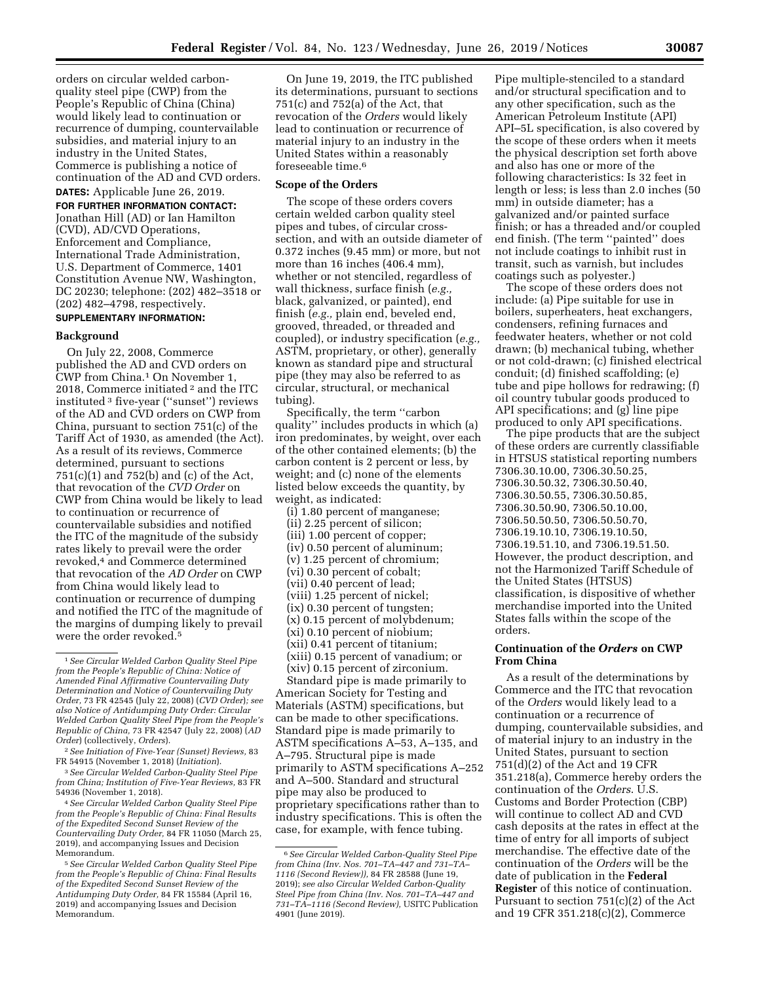orders on circular welded carbonquality steel pipe (CWP) from the People's Republic of China (China) would likely lead to continuation or recurrence of dumping, countervailable subsidies, and material injury to an industry in the United States, Commerce is publishing a notice of continuation of the AD and CVD orders.

**DATES:** Applicable June 26, 2019.

**FOR FURTHER INFORMATION CONTACT:**  Jonathan Hill (AD) or Ian Hamilton (CVD), AD/CVD Operations, Enforcement and Compliance, International Trade Administration, U.S. Department of Commerce, 1401 Constitution Avenue NW, Washington, DC 20230; telephone: (202) 482–3518 or (202) 482–4798, respectively.

# **SUPPLEMENTARY INFORMATION:**

#### **Background**

On July 22, 2008, Commerce published the AD and CVD orders on CWP from China.1 On November 1, 2018, Commerce initiated 2 and the ITC instituted 3 five-year (''sunset'') reviews of the AD and CVD orders on CWP from China, pursuant to section 751(c) of the Tariff Act of 1930, as amended (the Act). As a result of its reviews, Commerce determined, pursuant to sections 751(c)(1) and 752(b) and (c) of the Act, that revocation of the *CVD Order* on CWP from China would be likely to lead to continuation or recurrence of countervailable subsidies and notified the ITC of the magnitude of the subsidy rates likely to prevail were the order revoked,4 and Commerce determined that revocation of the *AD Order* on CWP from China would likely lead to continuation or recurrence of dumping and notified the ITC of the magnitude of the margins of dumping likely to prevail were the order revoked.5

4*See Circular Welded Carbon Quality Steel Pipe from the People's Republic of China: Final Results of the Expedited Second Sunset Review of the Countervailing Duty Order,* 84 FR 11050 (March 25, 2019), and accompanying Issues and Decision Memorandum.

On June 19, 2019, the ITC published its determinations, pursuant to sections 751(c) and 752(a) of the Act, that revocation of the *Orders* would likely lead to continuation or recurrence of material injury to an industry in the United States within a reasonably foreseeable time.6

### **Scope of the Orders**

The scope of these orders covers certain welded carbon quality steel pipes and tubes, of circular crosssection, and with an outside diameter of 0.372 inches (9.45 mm) or more, but not more than 16 inches (406.4 mm), whether or not stenciled, regardless of wall thickness, surface finish (*e.g.,*  black, galvanized, or painted), end finish (*e.g.,* plain end, beveled end, grooved, threaded, or threaded and coupled), or industry specification (*e.g.,*  ASTM, proprietary, or other), generally known as standard pipe and structural pipe (they may also be referred to as circular, structural, or mechanical tubing).

Specifically, the term ''carbon quality'' includes products in which (a) iron predominates, by weight, over each of the other contained elements; (b) the carbon content is 2 percent or less, by weight; and (c) none of the elements listed below exceeds the quantity, by weight, as indicated:

(i) 1.80 percent of manganese; (ii) 2.25 percent of silicon; (iii) 1.00 percent of copper; (iv) 0.50 percent of aluminum; (v) 1.25 percent of chromium; (vi) 0.30 percent of cobalt; (vii) 0.40 percent of lead; (viii) 1.25 percent of nickel; (ix) 0.30 percent of tungsten; (x) 0.15 percent of molybdenum; (xi) 0.10 percent of niobium; (xii) 0.41 percent of titanium; (xiii) 0.15 percent of vanadium; or (xiv) 0.15 percent of zirconium.

Standard pipe is made primarily to American Society for Testing and Materials (ASTM) specifications, but can be made to other specifications. Standard pipe is made primarily to ASTM specifications A–53, A–135, and A–795. Structural pipe is made primarily to ASTM specifications A–252 and A–500. Standard and structural pipe may also be produced to proprietary specifications rather than to industry specifications. This is often the case, for example, with fence tubing.

Pipe multiple-stenciled to a standard and/or structural specification and to any other specification, such as the American Petroleum Institute (API) API–5L specification, is also covered by the scope of these orders when it meets the physical description set forth above and also has one or more of the following characteristics: Is 32 feet in length or less; is less than 2.0 inches (50 mm) in outside diameter; has a galvanized and/or painted surface finish; or has a threaded and/or coupled end finish. (The term ''painted'' does not include coatings to inhibit rust in transit, such as varnish, but includes coatings such as polyester.)

The scope of these orders does not include: (a) Pipe suitable for use in boilers, superheaters, heat exchangers, condensers, refining furnaces and feedwater heaters, whether or not cold drawn; (b) mechanical tubing, whether or not cold-drawn; (c) finished electrical conduit; (d) finished scaffolding; (e) tube and pipe hollows for redrawing; (f) oil country tubular goods produced to API specifications; and (g) line pipe produced to only API specifications.

The pipe products that are the subject of these orders are currently classifiable in HTSUS statistical reporting numbers 7306.30.10.00, 7306.30.50.25, 7306.30.50.32, 7306.30.50.40, 7306.30.50.55, 7306.30.50.85, 7306.30.50.90, 7306.50.10.00, 7306.50.50.50, 7306.50.50.70, 7306.19.10.10, 7306.19.10.50, 7306.19.51.10, and 7306.19.51.50. However, the product description, and not the Harmonized Tariff Schedule of the United States (HTSUS) classification, is dispositive of whether merchandise imported into the United States falls within the scope of the orders.

## **Continuation of the** *Orders* **on CWP From China**

As a result of the determinations by Commerce and the ITC that revocation of the *Orders* would likely lead to a continuation or a recurrence of dumping, countervailable subsidies, and of material injury to an industry in the United States, pursuant to section 751(d)(2) of the Act and 19 CFR 351.218(a), Commerce hereby orders the continuation of the *Orders*. U.S. Customs and Border Protection (CBP) will continue to collect AD and CVD cash deposits at the rates in effect at the time of entry for all imports of subject merchandise. The effective date of the continuation of the *Orders* will be the date of publication in the **Federal Register** of this notice of continuation. Pursuant to section 751(c)(2) of the Act and 19 CFR 351.218(c)(2), Commerce

<sup>1</sup>*See Circular Welded Carbon Quality Steel Pipe from the People's Republic of China: Notice of Amended Final Affirmative Countervailing Duty Determination and Notice of Countervailing Duty Order,* 73 FR 42545 (July 22, 2008) (*CVD Order*)*; see also Notice of Antidumping Duty Order: Circular Welded Carbon Quality Steel Pipe from the People's Republic of China,* 73 FR 42547 (July 22, 2008) (*AD Order*) (collectively, *Orders*).

<sup>2</sup>*See Initiation of Five-Year (Sunset) Reviews,* 83 FR 54915 (November 1, 2018) (*Initiation*).

<sup>3</sup>*See Circular Welded Carbon-Quality Steel Pipe from China; Institution of Five-Year Reviews,* 83 FR 54936 (November 1, 2018).

<sup>5</sup>*See Circular Welded Carbon Quality Steel Pipe from the People's Republic of China: Final Results of the Expedited Second Sunset Review of the Antidumping Duty Order,* 84 FR 15584 (April 16, 2019) and accompanying Issues and Decision Memorandum.

<sup>6</sup>*See Circular Welded Carbon-Quality Steel Pipe from China (Inv. Nos. 701–TA–447 and 731–TA– 1116 (Second Review)),* 84 FR 28588 (June 19, 2019); *see also Circular Welded Carbon-Quality Steel Pipe from China (Inv. Nos. 701–TA–447 and 731–TA–1116 (Second Review),* USITC Publication 4901 (June 2019).